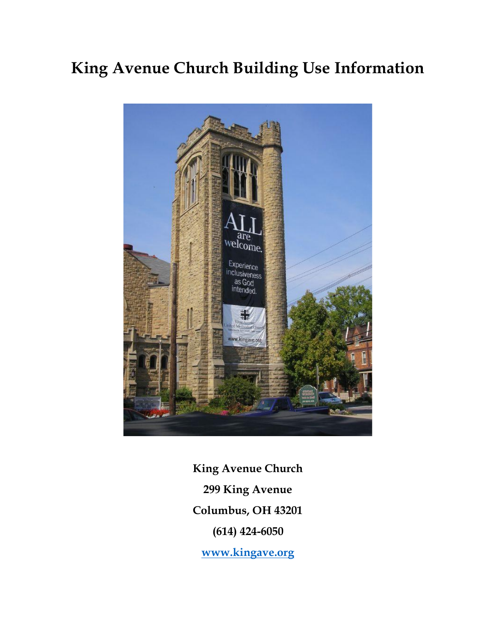# **King Avenue Church Building Use Information**



**King Avenue Church 299 King Avenue Columbus, OH 43201 (614) 424-6050**

**[www.kingave.org](http://www.kingave.org/)**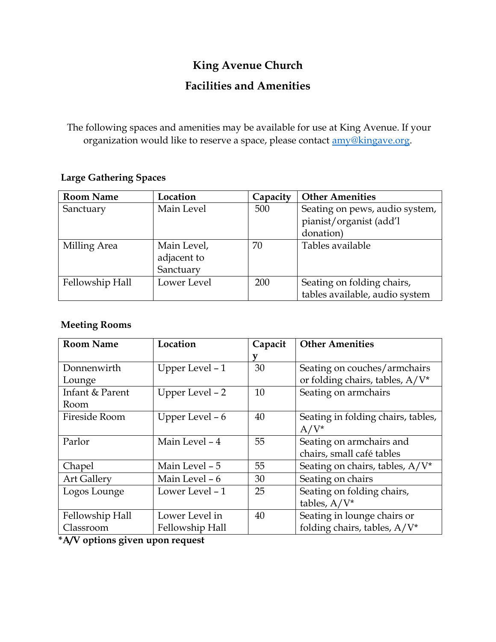## **King Avenue Church**

### **Facilities and Amenities**

The following spaces and amenities may be available for use at King Avenue. If your organization would like to reserve a space, please contact **amy@kingave.org**.

#### **Large Gathering Spaces**

| <b>Room Name</b> | Location                                | Capacity | <b>Other Amenities</b>                                                 |
|------------------|-----------------------------------------|----------|------------------------------------------------------------------------|
| Sanctuary        | Main Level                              | 500      | Seating on pews, audio system,<br>pianist/organist (add'l<br>donation) |
| Milling Area     | Main Level,<br>adjacent to<br>Sanctuary | 70       | Tables available                                                       |
| Fellowship Hall  | Lower Level                             | 200      | Seating on folding chairs,<br>tables available, audio system           |

#### **Meeting Rooms**

| <b>Room Name</b>   | Location        | Capacit | <b>Other Amenities</b>             |
|--------------------|-----------------|---------|------------------------------------|
|                    |                 | V       |                                    |
| Donnenwirth        | Upper Level - 1 | 30      | Seating on couches/armchairs       |
| Lounge             |                 |         | or folding chairs, tables, A/V*    |
| Infant & Parent    | Upper Level - 2 | 10      | Seating on armchairs               |
| Room               |                 |         |                                    |
| Fireside Room      | Upper Level - 6 | 40      | Seating in folding chairs, tables, |
|                    |                 |         | $A/V^*$                            |
| Parlor             | Main Level - 4  | 55      | Seating on armchairs and           |
|                    |                 |         | chairs, small café tables          |
| Chapel             | Main Level - 5  | 55      | Seating on chairs, tables, A/V*    |
| <b>Art Gallery</b> | Main Level - 6  | 30      | Seating on chairs                  |
| Logos Lounge       | Lower Level - 1 | 25      | Seating on folding chairs,         |
|                    |                 |         | tables, $A/V^*$                    |
| Fellowship Hall    | Lower Level in  | 40      | Seating in lounge chairs or        |
| Classroom          | Fellowship Hall |         | folding chairs, tables, A/V*       |

**\*A/V options given upon request**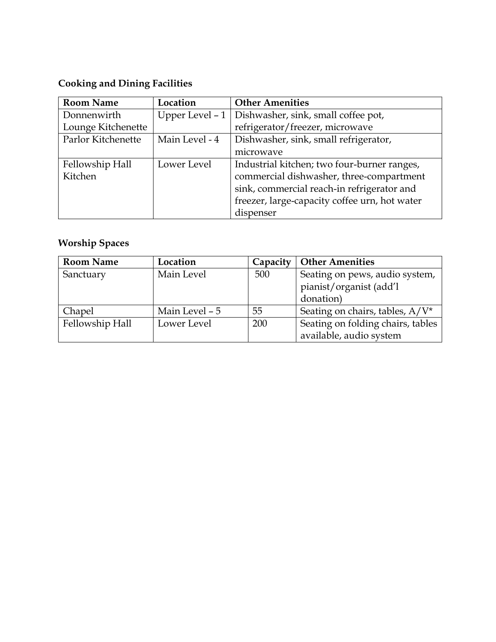# **Cooking and Dining Facilities**

| <b>Room Name</b>   | Location         | <b>Other Amenities</b>                        |
|--------------------|------------------|-----------------------------------------------|
| Donnenwirth        | Upper Level $-1$ | Dishwasher, sink, small coffee pot,           |
| Lounge Kitchenette |                  | refrigerator/freezer, microwave               |
| Parlor Kitchenette | Main Level - 4   | Dishwasher, sink, small refrigerator,         |
|                    |                  | microwave                                     |
| Fellowship Hall    | Lower Level      | Industrial kitchen; two four-burner ranges,   |
| Kitchen            |                  | commercial dishwasher, three-compartment      |
|                    |                  | sink, commercial reach-in refrigerator and    |
|                    |                  | freezer, large-capacity coffee urn, hot water |
|                    |                  | dispenser                                     |

# **Worship Spaces**

| <b>Room Name</b> | Location       | Capacity | <b>Other Amenities</b>            |
|------------------|----------------|----------|-----------------------------------|
| Sanctuary        | Main Level     | 500      | Seating on pews, audio system,    |
|                  |                |          | pianist/organist (add'l           |
|                  |                |          | donation)                         |
| Chapel           | Main Level - 5 | 55       | Seating on chairs, tables, A/V*   |
| Fellowship Hall  | Lower Level    | 200      | Seating on folding chairs, tables |
|                  |                |          | available, audio system           |